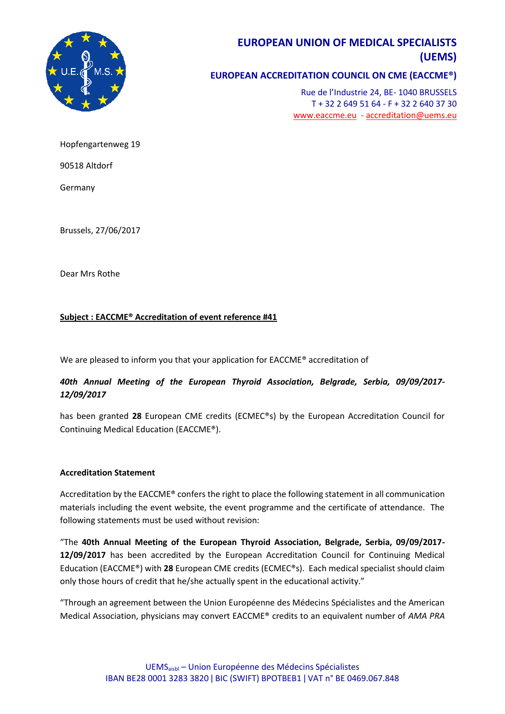

# **EUROPEAN UNION OF MEDICAL SPECIALISTS (UEMS)**

# **EUROPEAN ACCREDITATION COUNCIL ON CME (EACCME®)**

Rue de l'Industrie 24, BE- 1040 BRUSSELS T + 32 2 649 51 64 - F + 32 2 640 37 30 [www.eaccme.eu](http://www.eaccme.eu/) - [accreditation@uems.eu](mailto:accreditation@uems.eu)

Hopfengartenweg 19

90518 Altdorf

Germany

Brussels, 27/06/2017

Dear Mrs Rothe

### **Subject : EACCME® Accreditation of event reference #41**

We are pleased to inform you that your application for EACCME® accreditation of

## *40th Annual Meeting of the European Thyroid Association, Belgrade, Serbia, 09/09/2017- 12/09/2017*

has been granted **28** European CME credits (ECMEC®s) by the European Accreditation Council for Continuing Medical Education (EACCME®).

### **Accreditation Statement**

Accreditation by the EACCME® confers the right to place the following statement in all communication materials including the event website, the event programme and the certificate of attendance. The following statements must be used without revision:

"The **40th Annual Meeting of the European Thyroid Association, Belgrade, Serbia, 09/09/2017- 12/09/2017** has been accredited by the European Accreditation Council for Continuing Medical Education (EACCME®) with **28** European CME credits (ECMEC®s). Each medical specialist should claim only those hours of credit that he/she actually spent in the educational activity."

"Through an agreement between the Union Européenne des Médecins Spécialistes and the American Medical Association, physicians may convert EACCME® credits to an equivalent number of *AMA PRA*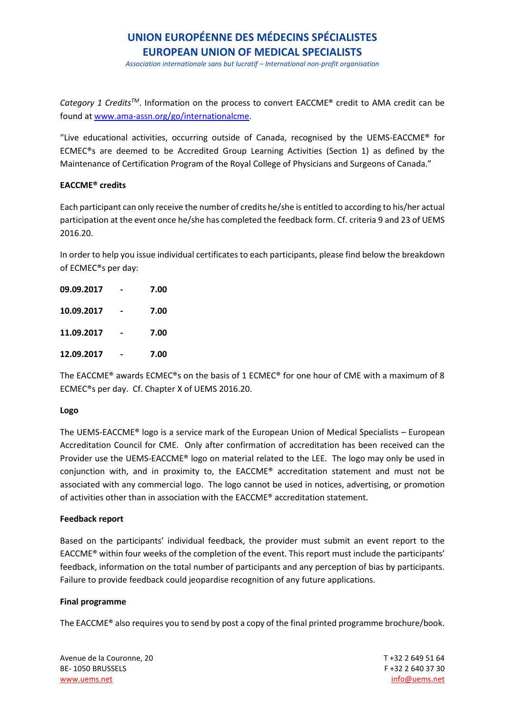# **UNION EUROPÉENNE DES MÉDECINS SPÉCIALISTES EUROPEAN UNION OF MEDICAL SPECIALISTS**

*Association internationale sans but lucratif – International non-profit organisation*

*Category 1 CreditsTM*. Information on the process to convert EACCME® credit to AMA credit can be found at [www.ama-assn.org/go/internationalcme.](http://www.ama-assn.org/go/internationalcme)

"Live educational activities, occurring outside of Canada, recognised by the UEMS-EACCME® for ECMEC®s are deemed to be Accredited Group Learning Activities (Section 1) as defined by the Maintenance of Certification Program of the Royal College of Physicians and Surgeons of Canada."

### **EACCME® credits**

Each participant can only receive the number of credits he/she is entitled to according to his/her actual participation at the event once he/she has completed the feedback form. Cf. criteria 9 and 23 of UEMS 2016.20.

In order to help you issue individual certificates to each participants, please find below the breakdown of ECMEC®s per day:

| 09.09.2017 | 7.00 |
|------------|------|
| 10.09.2017 | 7.00 |
| 11.09.2017 | 7.00 |
| 12.09.2017 | 7.00 |

The EACCME<sup>®</sup> awards ECMEC®s on the basis of 1 ECMEC<sup>®</sup> for one hour of CME with a maximum of 8 ECMEC®s per day. Cf. Chapter X of UEMS 2016.20.

### **Logo**

The UEMS-EACCME® logo is a service mark of the European Union of Medical Specialists – European Accreditation Council for CME. Only after confirmation of accreditation has been received can the Provider use the UEMS-EACCME® logo on material related to the LEE. The logo may only be used in conjunction with, and in proximity to, the EACCME® accreditation statement and must not be associated with any commercial logo. The logo cannot be used in notices, advertising, or promotion of activities other than in association with the EACCME® accreditation statement.

### **Feedback report**

Based on the participants' individual feedback, the provider must submit an event report to the EACCME® within four weeks of the completion of the event. This report must include the participants' feedback, information on the total number of participants and any perception of bias by participants. Failure to provide feedback could jeopardise recognition of any future applications.

### **Final programme**

The EACCME® also requires you to send by post a copy of the final printed programme brochure/book.